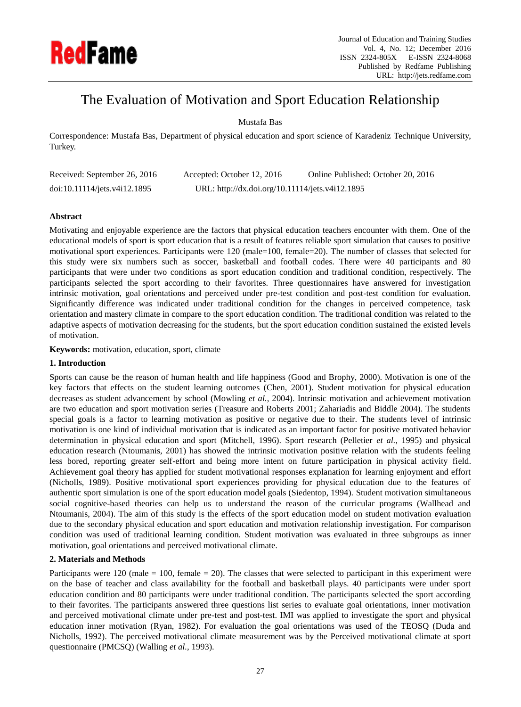

# The Evaluation of Motivation and Sport Education Relationship

Mustafa Bas

Correspondence: Mustafa Bas, Department of physical education and sport science of Karadeniz Technique University, Turkey.

| Received: September 26, 2016 | Accepted: October 12, 2016                      | Online Published: October 20, 2016 |
|------------------------------|-------------------------------------------------|------------------------------------|
| doi:10.11114/jets.v4i12.1895 | URL: http://dx.doi.org/10.11114/jets.v4i12.1895 |                                    |

## **Abstract**

Motivating and enjoyable experience are the factors that physical education teachers encounter with them. One of the educational models of sport is sport education that is a result of features reliable sport simulation that causes to positive motivational sport experiences. Participants were 120 (male=100, female=20). The number of classes that selected for this study were six numbers such as soccer, basketball and football codes. There were 40 participants and 80 participants that were under two conditions as sport education condition and traditional condition, respectively. The participants selected the sport according to their favorites. Three questionnaires have answered for investigation intrinsic motivation, goal orientations and perceived under pre-test condition and post-test condition for evaluation. Significantly difference was indicated under traditional condition for the changes in perceived competence, task orientation and mastery climate in compare to the sport education condition. The traditional condition was related to the adaptive aspects of motivation decreasing for the students, but the sport education condition sustained the existed levels of motivation.

**Keywords:** motivation, education, sport, climate

## **1. Introduction**

Sports can cause be the reason of human health and life happiness (Good and Brophy, 2000). Motivation is one of the key factors that effects on the student learning outcomes (Chen, 2001). Student motivation for physical education decreases as student advancement by school (Mowling *et al.*, 2004). Intrinsic motivation and achievement motivation are two education and sport motivation series (Treasure and Roberts 2001; Zahariadis and Biddle 2004). The students special goals is a factor to learning motivation as positive or negative due to their. The students level of intrinsic motivation is one kind of individual motivation that is indicated as an important factor for positive motivated behavior determination in physical education and sport (Mitchell, 1996). Sport research (Pelletier *et al.,* 1995) and physical education research (Ntoumanis, 2001) has showed the intrinsic motivation positive relation with the students feeling less bored, reporting greater self-effort and being more intent on future participation in physical activity field. Achievement goal theory has applied for student motivational responses explanation for learning enjoyment and effort (Nicholls, 1989). Positive motivational sport experiences providing for physical education due to the features of authentic sport simulation is one of the sport education model goals (Siedentop, 1994). Student motivation simultaneous social cognitive-based theories can help us to understand the reason of the curricular programs (Wallhead and Ntoumanis, 2004). The aim of this study is the effects of the sport education model on student motivation evaluation due to the secondary physical education and sport education and motivation relationship investigation. For comparison condition was used of traditional learning condition. Student motivation was evaluated in three subgroups as inner motivation, goal orientations and perceived motivational climate.

## **2. Materials and Methods**

Participants were 120 (male = 100, female = 20). The classes that were selected to participant in this experiment were on the base of teacher and class availability for the football and basketball plays. 40 participants were under sport education condition and 80 participants were under traditional condition. The participants selected the sport according to their favorites. The participants answered three questions list series to evaluate goal orientations, inner motivation and perceived motivational climate under pre-test and post-test. IMI was applied to investigate the sport and physical education inner motivation (Ryan, 1982). For evaluation the goal orientations was used of the TEOSQ (Duda and Nicholls, 1992). The perceived motivational climate measurement was by the Perceived motivational climate at sport questionnaire (PMCSQ) (Walling *et al.,* 1993).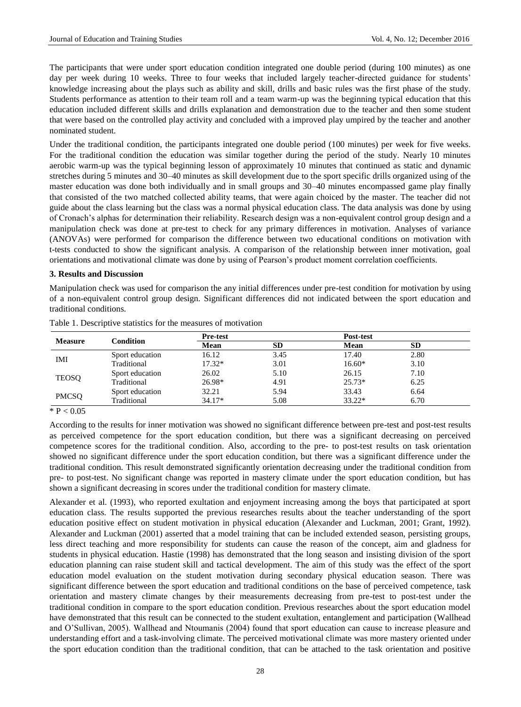The participants that were under sport education condition integrated one double period (during 100 minutes) as one day per week during 10 weeks. Three to four weeks that included largely teacher-directed guidance for students' knowledge increasing about the plays such as ability and skill, drills and basic rules was the first phase of the study. Students performance as attention to their team roll and a team warm-up was the beginning typical education that this education included different skills and drills explanation and demonstration due to the teacher and then some student that were based on the controlled play activity and concluded with a improved play umpired by the teacher and another nominated student.

Under the traditional condition, the participants integrated one double period (100 minutes) per week for five weeks. For the traditional condition the education was similar together during the period of the study. Nearly 10 minutes aerobic warm-up was the typical beginning lesson of approximately 10 minutes that continued as static and dynamic stretches during 5 minutes and 30–40 minutes as skill development due to the sport specific drills organized using of the master education was done both individually and in small groups and 30–40 minutes encompassed game play finally that consisted of the two matched collected ability teams, that were again choiced by the master. The teacher did not guide about the class learning but the class was a normal physical education class. The data analysis was done by using of Cronach's alphas for determination their reliability. Research design was a non-equivalent control group design and a manipulation check was done at pre-test to check for any primary differences in motivation. Analyses of variance (ANOVAs) were performed for comparison the difference between two educational conditions on motivation with t-tests conducted to show the significant analysis. A comparison of the relationship between inner motivation, goal orientations and motivational climate was done by using of Pearson's product moment correlation coefficients.

#### **3. Results and Discussion**

Manipulation check was used for comparison the any initial differences under pre-test condition for motivation by using of a non-equivalent control group design. Significant differences did not indicated between the sport education and traditional conditions.

| <b>Measure</b> | Condition       | <b>Pre-test</b> |           |          | Post-test |  |
|----------------|-----------------|-----------------|-----------|----------|-----------|--|
|                |                 | Mean            | <b>SD</b> | Mean     | <b>SD</b> |  |
| IMI            | Sport education | 16.12           | 3.45      | 17.40    | 2.80      |  |
|                | Traditional     | $17.32*$        | 3.01      | $16.60*$ | 3.10      |  |
| <b>TEOSO</b>   | Sport education | 26.02           | 5.10      | 26.15    | 7.10      |  |
|                | Traditional     | 26.98*          | 4.91      | $25.73*$ | 6.25      |  |
| <b>PMCSQ</b>   | Sport education | 32.21           | 5.94      | 33.43    | 6.64      |  |
|                | Traditional     | $34.17*$        | 5.08      | $33.22*$ | 6.70      |  |

Table 1. Descriptive statistics for the measures of motivation

 $*$  P < 0.05

According to the results for inner motivation was showed no significant difference between pre-test and post-test results as perceived competence for the sport education condition, but there was a significant decreasing on perceived competence scores for the traditional condition. Also, according to the pre- to post-test results on task orientation showed no significant difference under the sport education condition, but there was a significant difference under the traditional condition. This result demonstrated significantly orientation decreasing under the traditional condition from pre- to post-test. No significant change was reported in mastery climate under the sport education condition, but has shown a significant decreasing in scores under the traditional condition for mastery climate.

Alexander et al. (1993), who reported exultation and enjoyment increasing among the boys that participated at sport education class. The results supported the previous researches results about the teacher understanding of the sport education positive effect on student motivation in physical education (Alexander and Luckman, 2001; Grant, 1992). Alexander and Luckman (2001) asserted that a model training that can be included extended season, persisting groups, less direct teaching and more responsibility for students can cause the reason of the concept, aim and gladness for students in physical education. Hastie (1998) has demonstrated that the long season and insisting division of the sport education planning can raise student skill and tactical development. The aim of this study was the effect of the sport education model evaluation on the student motivation during secondary physical education season. There was significant difference between the sport education and traditional conditions on the base of perceived competence, task orientation and mastery climate changes by their measurements decreasing from pre-test to post-test under the traditional condition in compare to the sport education condition. Previous researches about the sport education model have demonstrated that this result can be connected to the student exultation, entanglement and participation (Wallhead and O'Sullivan, 2005). Wallhead and Ntoumanis (2004) found that sport education can cause to increase pleasure and understanding effort and a task-involving climate. The perceived motivational climate was more mastery oriented under the sport education condition than the traditional condition, that can be attached to the task orientation and positive